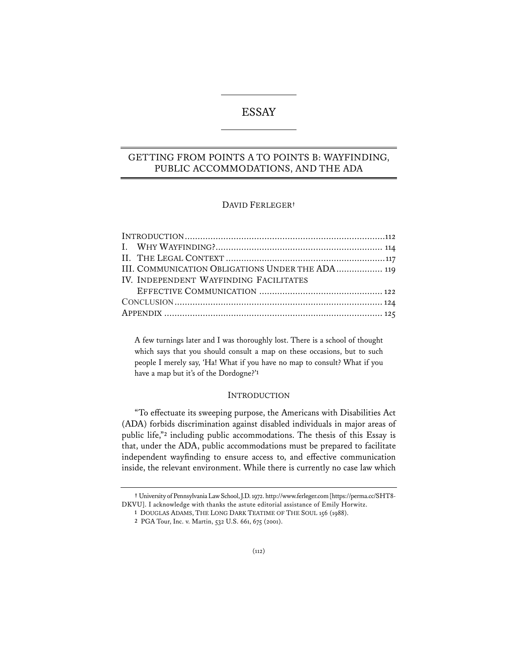# ESSAY

# GETTING FROM POINTS A TO POINTS B: WAYFINDING, PUBLIC ACCOMMODATIONS, AND THE ADA

## DAVID FERLEGER**†**

| III. COMMUNICATION OBLIGATIONS UNDER THE ADA  119 |  |
|---------------------------------------------------|--|
| IV. INDEPENDENT WAYFINDING FACILITATES            |  |
|                                                   |  |
|                                                   |  |
|                                                   |  |
|                                                   |  |

A few turnings later and I was thoroughly lost. There is a school of thought which says that you should consult a map on these occasions, but to such people I merely say, 'Ha! What if you have no map to consult? What if you have a map but it's of the Dordogne?'**<sup>1</sup>**

### INTRODUCTION

"To effectuate its sweeping purpose, the Americans with Disabilities Act (ADA) forbids discrimination against disabled individuals in major areas of public life,"**<sup>2</sup>** including public accommodations. The thesis of this Essay is that, under the ADA, public accommodations must be prepared to facilitate independent wayfinding to ensure access to, and effective communication inside, the relevant environment. While there is currently no case law which

**<sup>†</sup>** University of Pennsylvania Law School, J.D. 1972. http://www.ferleger.com [https://perma.cc/SHT8- DKVU]. I acknowledge with thanks the astute editorial assistance of Emily Horwitz.

**<sup>1</sup>** DOUGLAS ADAMS, THE LONG DARK TEATIME OF THE SOUL 156 (1988).

**<sup>2</sup>** PGA Tour, Inc. v. Martin, 532 U.S. 661, 675 (2001).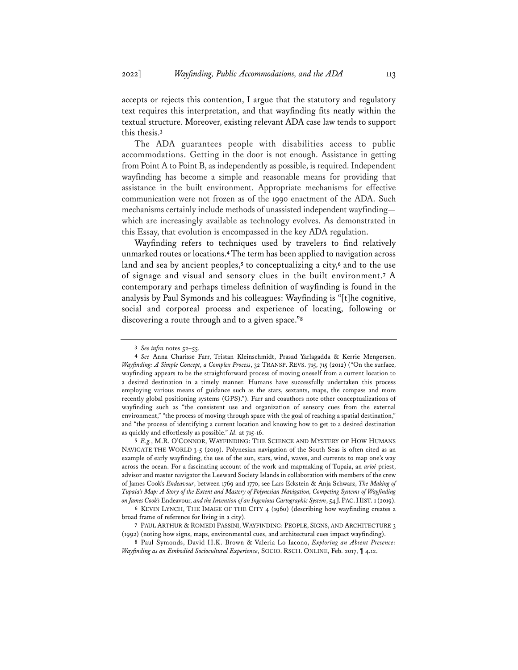accepts or rejects this contention, I argue that the statutory and regulatory text requires this interpretation, and that wayfinding fits neatly within the textual structure. Moreover, existing relevant ADA case law tends to support this thesis.**<sup>3</sup>**

The ADA guarantees people with disabilities access to public accommodations. Getting in the door is not enough. Assistance in getting from Point A to Point B, as independently as possible, is required. Independent wayfinding has become a simple and reasonable means for providing that assistance in the built environment. Appropriate mechanisms for effective communication were not frozen as of the 1990 enactment of the ADA. Such mechanisms certainly include methods of unassisted independent wayfinding which are increasingly available as technology evolves. As demonstrated in this Essay, that evolution is encompassed in the key ADA regulation.

Wayfinding refers to techniques used by travelers to find relatively unmarked routes or locations.**4**The term has been applied to navigation across land and sea by ancient peoples,**<sup>5</sup>** to conceptualizing a city,**<sup>6</sup>** and to the use of signage and visual and sensory clues in the built environment.**<sup>7</sup>** A contemporary and perhaps timeless definition of wayfinding is found in the analysis by Paul Symonds and his colleagues: Wayfinding is "[t]he cognitive, social and corporeal process and experience of locating, following or discovering a route through and to a given space."**<sup>8</sup>**

**<sup>3</sup>** *See infra* notes 52–55.

**<sup>4</sup>** *See* Anna Charisse Farr, Tristan Kleinschmidt, Prasad Yarlagadda & Kerrie Mengersen, *Wayfnding: A Simple Concept, a Complex Process*, 32 TRANSP. REVS. 715, 715 (2012) ("On the surface, wayfinding appears to be the straightforward process of moving oneself from a current location to a desired destination in a timely manner. Humans have successfully undertaken this process employing various means of guidance such as the stars, sextants, maps, the compass and more recently global positioning systems (GPS)."). Farr and coauthors note other conceptualizations of wayfinding such as "the consistent use and organization of sensory cues from the external environment," "the process of moving through space with the goal of reaching a spatial destination," and "the process of identifying a current location and knowing how to get to a desired destination as quickly and effortlessly as possible." *Id.* at 715-16.

**<sup>5</sup>** *E.g.*, M.R. O'CONNOR, WAYFINDING: THE SCIENCE AND MYSTERY OF HOW HUMANS NAVIGATE THE WORLD 3-5 (2019). Polynesian navigation of the South Seas is often cited as an example of early wayfinding, the use of the sun, stars, wind, waves, and currents to map one's way across the ocean. For a fascinating account of the work and mapmaking of Tupaia, an *arioi* priest, advisor and master navigator the Leeward Society Islands in collaboration with members of the crew of James Cook's *Endeavour*, between 1769 and 1770, see Lars Eckstein & Anja Schwarz, *The Making of Tupaia's Map: A Story of the Extent and Mastery of Polynesian Navigation, Competing Systems of Wayfinding on James Cook's* Endeavour*, and the Invention of an Ingenious Cartographic System*, 54 J.PAC. HIST. 1 (2019).

**<sup>6</sup>** KEVIN LYNCH, THE IMAGE OF THE CITY 4 (1960) (describing how wayfinding creates a broad frame of reference for living in a city).

**<sup>7</sup>** PAUL ARTHUR & ROMEDI PASSINI, WAYFINDING: PEOPLE, SIGNS, AND ARCHITECTURE 3 (1992) (noting how signs, maps, environmental cues, and architectural cues impact wayfinding).

**<sup>8</sup>** Paul Symonds, David H.K. Brown & Valeria Lo Iacono, *Exploring an Absent Presence: Wayfnding as an Embodied Sociocultural Experience*, SOCIO. RSCH. ONLINE, Feb. 2017, ¶ 4.12.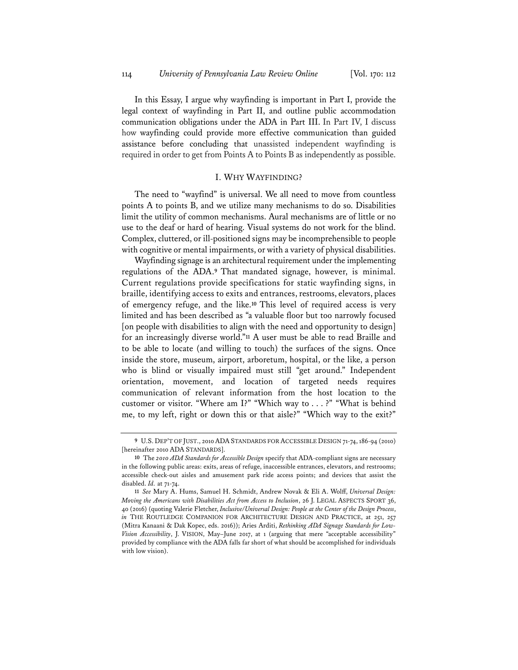In this Essay, I argue why wayfinding is important in Part I, provide the legal context of wayfinding in Part II, and outline public accommodation communication obligations under the ADA in Part III. In Part IV, I discuss how wayfinding could provide more effective communication than guided assistance before concluding that unassisted independent wayfinding is required in order to get from Points A to Points B as independently as possible.

### I. WHY WAYFINDING?

The need to "wayfind" is universal. We all need to move from countless points A to points B, and we utilize many mechanisms to do so. Disabilities limit the utility of common mechanisms. Aural mechanisms are of little or no use to the deaf or hard of hearing. Visual systems do not work for the blind. Complex, cluttered, or ill-positioned signs may be incomprehensible to people with cognitive or mental impairments, or with a variety of physical disabilities.

Wayfinding signage is an architectural requirement under the implementing regulations of the ADA.**<sup>9</sup>** That mandated signage, however, is minimal. Current regulations provide specifications for static wayfinding signs, in braille, identifying access to exits and entrances, restrooms, elevators, places of emergency refuge, and the like.**<sup>10</sup>** This level of required access is very limited and has been described as "a valuable floor but too narrowly focused [on people with disabilities to align with the need and opportunity to design] for an increasingly diverse world."**<sup>11</sup>** A user must be able to read Braille and to be able to locate (and willing to touch) the surfaces of the signs. Once inside the store, museum, airport, arboretum, hospital, or the like, a person who is blind or visually impaired must still "get around." Independent orientation, movement, and location of targeted needs requires communication of relevant information from the host location to the customer or visitor. "Where am I?" "Which way to . . . ?" "What is behind me, to my left, right or down this or that aisle?" "Which way to the exit?"

**<sup>9</sup>** U.S. DEP'T OF JUST., 2010 ADA STANDARDS FOR ACCESSIBLE DESIGN 71-74, 186-94 (2010) [hereinafter 2010 ADA STANDARDS].

**<sup>10</sup>** The *2010 ADA Standards for Accessible Design* specify that ADA-compliant signs are necessary in the following public areas: exits, areas of refuge, inaccessible entrances, elevators, and restrooms; accessible check-out aisles and amusement park ride access points; and devices that assist the disabled. *Id.* at 71-74.

**<sup>11</sup>** *See* Mary A. Hums, Samuel H. Schmidt, Andrew Novak & Eli A. Wolff, *Universal Design: Moving the Americans with Disabilities Act from Access to Inclusion*, 26 J. LEGAL ASPECTS SPORT 36, 40 (2016) (quoting Valerie Fletcher, *Inclusive/Universal Design: People at the Center of the Design Process*, *in* THE ROUTLEDGE COMPANION FOR ARCHITECTURE DESIGN AND PRACTICE, at 251, 257 (Mitra Kanaani & Dak Kopec, eds. 2016)); Aries Arditi, *Rethinking ADA Signage Standards for Low-Vision Accessibility*, J. VISION, May–June 2017, at 1 (arguing that mere "acceptable accessibility" provided by compliance with the ADA falls far short of what should be accomplished for individuals with low vision).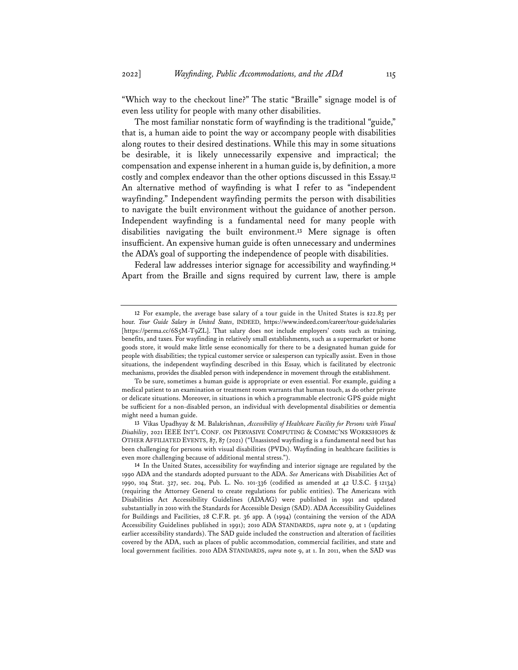"Which way to the checkout line?" The static "Braille" signage model is of even less utility for people with many other disabilities.

The most familiar nonstatic form of wayfinding is the traditional "guide," that is, a human aide to point the way or accompany people with disabilities along routes to their desired destinations. While this may in some situations be desirable, it is likely unnecessarily expensive and impractical; the compensation and expense inherent in a human guide is, by definition, a more costly and complex endeavor than the other options discussed in this Essay.**<sup>12</sup>** An alternative method of wayfinding is what I refer to as "independent wayfinding." Independent wayfinding permits the person with disabilities to navigate the built environment without the guidance of another person. Independent wayfinding is a fundamental need for many people with disabilities navigating the built environment.**<sup>13</sup>** Mere signage is often insufficient. An expensive human guide is often unnecessary and undermines the ADA's goal of supporting the independence of people with disabilities.

Federal law addresses interior signage for accessibility and wayfinding.**<sup>14</sup>** Apart from the Braille and signs required by current law, there is ample

**13** Vikas Upadhyay & M. Balakrishnan, *Accessibility of Healthcare Facility for Persons with Visual Disability*, 2021 IEEE INT'L CONF. ON PERVASIVE COMPUTING & COMMC'NS WORKSHOPS & OTHER AFFILIATED EVENTS, 87, 87 (2021) ("Unassisted wayfinding is a fundamental need but has been challenging for persons with visual disabilities (PVDs). Wayfinding in healthcare facilities is even more challenging because of additional mental stress.").

**<sup>12</sup>** For example, the average base salary of a tour guide in the United States is \$22.83 per hour. *Tour Guide Salary in United States*, INDEED, https://www.indeed.com/career/tour-guide/salaries [https://perma.cc/6S5M-T9ZL]. That salary does not include employers' costs such as training, benefits, and taxes. For wayfinding in relatively small establishments, such as a supermarket or home goods store, it would make little sense economically for there to be a designated human guide for people with disabilities; the typical customer service or salesperson can typically assist. Even in those situations, the independent wayfinding described in this Essay, which is facilitated by electronic mechanisms, provides the disabled person with independence in movement through the establishment.

To be sure, sometimes a human guide is appropriate or even essential. For example, guiding a medical patient to an examination or treatment room warrants that human touch, as do other private or delicate situations. Moreover, in situations in which a programmable electronic GPS guide might be sufficient for a non-disabled person, an individual with developmental disabilities or dementia might need a human guide.

**<sup>14</sup>** In the United States, accessibility for wayfinding and interior signage are regulated by the 1990 ADA and the standards adopted pursuant to the ADA. *See* Americans with Disabilities Act of 1990, 104 Stat. 327, sec. 204, Pub. L. No. 101-336 (codified as amended at 42 U.S.C. § 12134) (requiring the Attorney General to create regulations for public entities). The Americans with Disabilities Act Accessibility Guidelines (ADAAG) were published in 1991 and updated substantially in 2010 with the Standards for Accessible Design (SAD). ADA Accessibility Guidelines for Buildings and Facilities, 28 C.F.R. pt. 36 app. A (1994) (containing the version of the ADA Accessibility Guidelines published in 1991); 2010 ADA STANDARDS, *supra* note 9, at 1 (updating earlier accessibility standards). The SAD guide included the construction and alteration of facilities covered by the ADA, such as places of public accommodation, commercial facilities, and state and local government facilities. 2010 ADA STANDARDS, *supra* note 9, at 1. In 2011, when the SAD was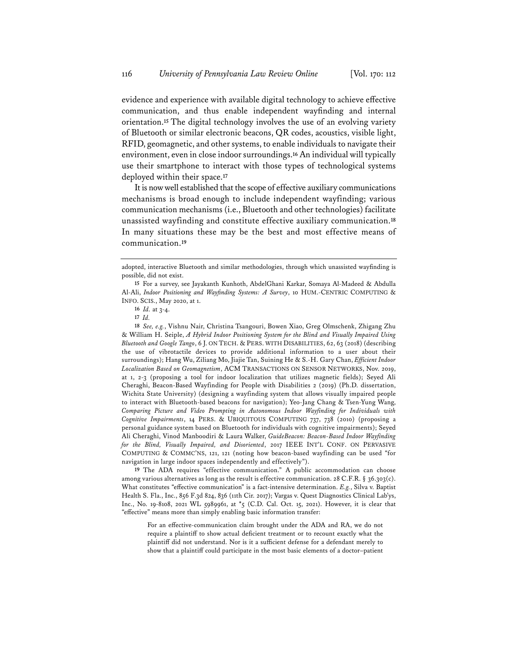evidence and experience with available digital technology to achieve effective communication, and thus enable independent wayfinding and internal orientation.**<sup>15</sup>** The digital technology involves the use of an evolving variety of Bluetooth or similar electronic beacons, QR codes, acoustics, visible light, RFID, geomagnetic, and other systems, to enable individuals to navigate their environment, even in close indoor surroundings.**<sup>16</sup>** An individual will typically use their smartphone to interact with those types of technological systems deployed within their space.**<sup>17</sup>**

It is now well established that the scope of effective auxiliary communications mechanisms is broad enough to include independent wayfinding; various communication mechanisms (i.e., Bluetooth and other technologies) facilitate unassisted wayfinding and constitute effective auxiliary communication.**<sup>18</sup>** In many situations these may be the best and most effective means of communication.**<sup>19</sup>**

**16** *Id.* at 3-4.

**18** *See, e.g.*, Vishnu Nair, Christina Tsangouri, Bowen Xiao, Greg Olmschenk, Zhigang Zhu & William H. Seiple, *A Hybrid Indoor Positioning System for the Blind and Visually Impaired Using Bluetooth and Google Tango*, 6 J. ON TECH. & PERS. WITH DISABILITIES, 62, 63 (2018) (describing the use of vibrotactile devices to provide additional information to a user about their surroundings); Hang Wu, Ziliang Mo, Jiajie Tan, Suining He & S.-H. Gary Chan, *Efficient Indoor Localization Based on Geomagnetism*, ACM TRANSACTIONS ON SENSOR NETWORKS, Nov. 2019, at 1, 2-3 (proposing a tool for indoor localization that utilizes magnetic fields); Seyed Ali Cheraghi, Beacon-Based Wayfinding for People with Disabilities 2 (2019) (Ph.D. dissertation, Wichita State University) (designing a wayfinding system that allows visually impaired people to interact with Bluetooth-based beacons for navigation); Yeo-Jang Chang & Tsen-Yung Wang, *Comparing Picture and Video Prompting in Autonomous Indoor Wayfinding for Individuals with Cognitive Impairments*, 14 PERS. & UBIQUITOUS COMPUTING 737, 738 (2010) (proposing a personal guidance system based on Bluetooth for individuals with cognitive impairments); Seyed Ali Cheraghi, Vinod Manboodiri & Laura Walker, *GuideBeacon: Beacon-Based Indoor Wayfinding for the Blind, Visually Impaired, and Disoriented*, 2017 IEEE INT'L CONF. ON PERVASIVE COMPUTING & COMMC'NS, 121, 121 (noting how beacon-based wayfinding can be used "for navigation in large indoor spaces independently and effectively").

**19** The ADA requires "effective communication." A public accommodation can choose among various alternatives as long as the result is effective communication. 28 C.F.R. § 36.303(c). What constitutes "effective communication" is a fact-intensive determination. *E.g.*, Silva v. Baptist Health S. Fla., Inc., 856 F.3d 824, 836 (11th Cir. 2017); Vargas v. Quest Diagnostics Clinical Lab'ys, Inc., No. 19-8108, 2021 WL 5989961, at \*5 (C.D. Cal. Oct. 15, 2021). However, it is clear that "effective" means more than simply enabling basic information transfer:

For an effective-communication claim brought under the ADA and RA, we do not require a plaintiff to show actual deficient treatment or to recount exactly what the plaintiff did not understand. Nor is it a sufficient defense for a defendant merely to show that a plaintiff could participate in the most basic elements of a doctor–patient

adopted, interactive Bluetooth and similar methodologies, through which unassisted wayfinding is possible, did not exist.

**<sup>15</sup>** For a survey, see Jayakanth Kunhoth, AbdelGhani Karkar, Somaya Al-Madeed & Abdulla Al-Ali, *Indoor Positioning and Wayfnding Systems: A Survey*, 10 HUM.-CENTRIC COMPUTING & INFO. SCIS., May 2020, at 1.

**<sup>17</sup>** *Id.*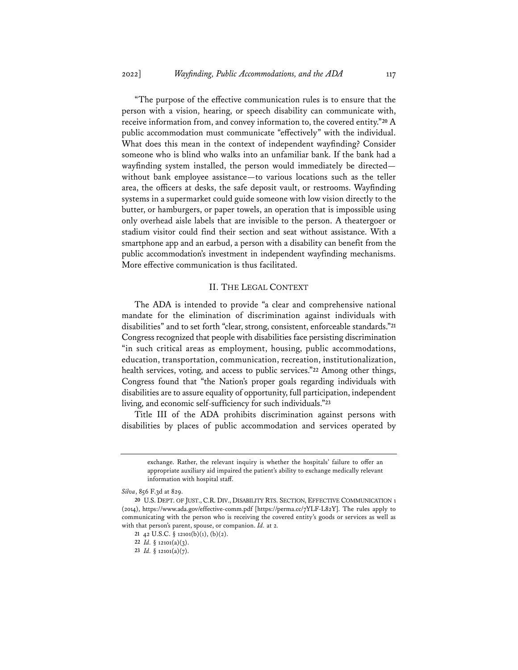"The purpose of the effective communication rules is to ensure that the person with a vision, hearing, or speech disability can communicate with, receive information from, and convey information to, the covered entity."**<sup>20</sup>** A public accommodation must communicate "effectively" with the individual. What does this mean in the context of independent wayfinding? Consider someone who is blind who walks into an unfamiliar bank. If the bank had a wayfinding system installed, the person would immediately be directed without bank employee assistance—to various locations such as the teller area, the officers at desks, the safe deposit vault, or restrooms. Wayfinding systems in a supermarket could guide someone with low vision directly to the butter, or hamburgers, or paper towels, an operation that is impossible using only overhead aisle labels that are invisible to the person. A theatergoer or stadium visitor could find their section and seat without assistance. With a smartphone app and an earbud, a person with a disability can benefit from the public accommodation's investment in independent wayfinding mechanisms. More effective communication is thus facilitated.

#### II. THE LEGAL CONTEXT

The ADA is intended to provide "a clear and comprehensive national mandate for the elimination of discrimination against individuals with disabilities" and to set forth "clear, strong, consistent, enforceable standards."**<sup>21</sup>** Congress recognized that people with disabilities face persisting discrimination "in such critical areas as employment, housing, public accommodations, education, transportation, communication, recreation, institutionalization, health services, voting, and access to public services."**<sup>22</sup>** Among other things, Congress found that "the Nation's proper goals regarding individuals with disabilities are to assure equality of opportunity, full participation, independent living, and economic self-sufficiency for such individuals."**<sup>23</sup>**

Title III of the ADA prohibits discrimination against persons with disabilities by places of public accommodation and services operated by

exchange. Rather, the relevant inquiry is whether the hospitals' failure to offer an appropriate auxiliary aid impaired the patient's ability to exchange medically relevant information with hospital staff.

*Silva*, 856 F.3d at 829.

**<sup>20</sup>** U.S. DEPT. OF JUST., C.R. DIV., DISABILITY RTS. SECTION, EFFECTIVE COMMUNICATION 1 (2014), https://www.ada.gov/effective-comm.pdf [https://perma.cc/7YLF-L82Y]. The rules apply to communicating with the person who is receiving the covered entity's goods or services as well as with that person's parent, spouse, or companion. *Id.* at 2*.*

**<sup>21</sup>** 42 U.S.C. § 12101(b)(1), (b)(2).

**<sup>22</sup>** *Id.* § 12101(a)(3).

**<sup>23</sup>** *Id.* § 12101(a)(7).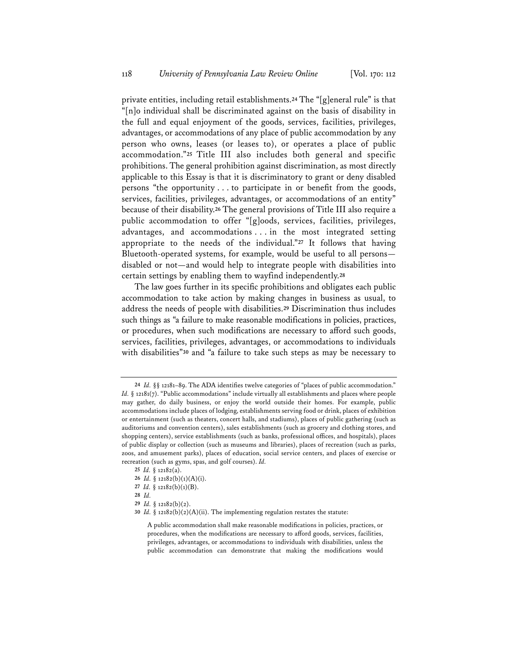private entities, including retail establishments.**<sup>24</sup>** The "[g]eneral rule" is that "[n]o individual shall be discriminated against on the basis of disability in the full and equal enjoyment of the goods, services, facilities, privileges, advantages, or accommodations of any place of public accommodation by any person who owns, leases (or leases to), or operates a place of public accommodation."**<sup>25</sup>** Title III also includes both general and specific prohibitions. The general prohibition against discrimination, as most directly applicable to this Essay is that it is discriminatory to grant or deny disabled persons "the opportunity . . . to participate in or benefit from the goods, services, facilities, privileges, advantages, or accommodations of an entity" because of their disability.**<sup>26</sup>** The general provisions of Title III also require a public accommodation to offer "[g]oods, services, facilities, privileges, advantages, and accommodations . . . in the most integrated setting appropriate to the needs of the individual."**<sup>27</sup>** It follows that having Bluetooth-operated systems, for example, would be useful to all persons disabled or not—and would help to integrate people with disabilities into certain settings by enabling them to wayfind independently.**<sup>28</sup>**

The law goes further in its specific prohibitions and obligates each public accommodation to take action by making changes in business as usual, to address the needs of people with disabilities.**<sup>29</sup>** Discrimination thus includes such things as "a failure to make reasonable modifications in policies, practices, or procedures, when such modifications are necessary to afford such goods, services, facilities, privileges, advantages, or accommodations to individuals with disabilities"**<sup>30</sup>** and "a failure to take such steps as may be necessary to

**<sup>24</sup>** *Id.* §§ 12181–89. The ADA identifies twelve categories of "places of public accommodation." *Id.* § 12181(7). "Public accommodations" include virtually all establishments and places where people may gather, do daily business, or enjoy the world outside their homes. For example, public accommodations include places of lodging, establishments serving food or drink, places of exhibition or entertainment (such as theaters, concert halls, and stadiums), places of public gathering (such as auditoriums and convention centers), sales establishments (such as grocery and clothing stores, and shopping centers), service establishments (such as banks, professional offices, and hospitals), places of public display or collection (such as museums and libraries), places of recreation (such as parks, zoos, and amusement parks), places of education, social service centers, and places of exercise or recreation (such as gyms, spas, and golf courses). *Id.*

**<sup>25</sup>** *Id.* § 12182(a).

**<sup>26</sup>** *Id.* § 12182(b)(1)(A)(i).

**<sup>27</sup>** *Id.* § 12182(b)(1)(B).

**<sup>28</sup>** *Id.*

**<sup>29</sup>** *Id.* § 12182(b)(2).

**<sup>30</sup>** *Id.* § 12182(b)(2)(A)(ii). The implementing regulation restates the statute:

A public accommodation shall make reasonable modifications in policies, practices, or procedures, when the modifications are necessary to afford goods, services, facilities, privileges, advantages, or accommodations to individuals with disabilities, unless the public accommodation can demonstrate that making the modifications would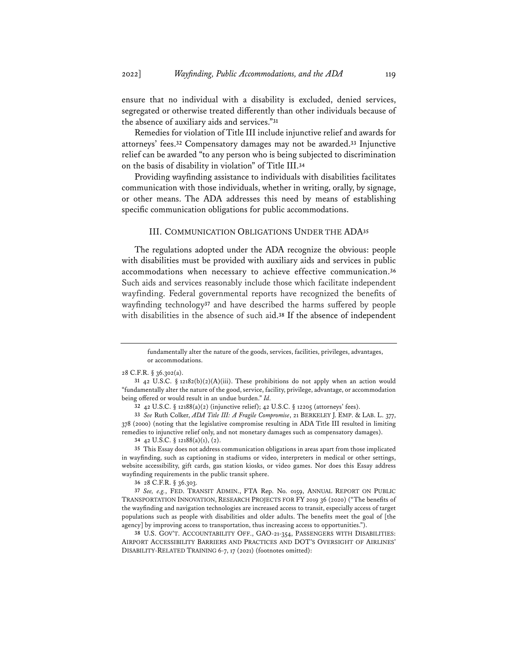ensure that no individual with a disability is excluded, denied services, segregated or otherwise treated differently than other individuals because of the absence of auxiliary aids and services."**<sup>31</sup>**

Remedies for violation of Title III include injunctive relief and awards for attorneys' fees.**<sup>32</sup>** Compensatory damages may not be awarded.**<sup>33</sup>** Injunctive relief can be awarded "to any person who is being subjected to discrimination on the basis of disability in violation" of Title III.**<sup>34</sup>**

Providing wayfinding assistance to individuals with disabilities facilitates communication with those individuals, whether in writing, orally, by signage, or other means. The ADA addresses this need by means of establishing specific communication obligations for public accommodations.

#### III. COMMUNICATION OBLIGATIONS UNDER THE ADA**<sup>35</sup>**

The regulations adopted under the ADA recognize the obvious: people with disabilities must be provided with auxiliary aids and services in public accommodations when necessary to achieve effective communication.**<sup>36</sup>** Such aids and services reasonably include those which facilitate independent wayfinding. Federal governmental reports have recognized the benefits of wayfinding technology**<sup>37</sup>** and have described the harms suffered by people with disabilities in the absence of such aid.**<sup>38</sup>** If the absence of independent

28 C.F.R. § 36.302(a).

**32** 42 U.S.C. § 12188(a)(2) (injunctive relief); 42 U.S.C. § 12205 (attorneys' fees).

**33** *See* Ruth Colker, *ADA Title III: A Fragile Compromise*, 21 BERKELEY J. EMP. & LAB. L. 377, 378 (2000) (noting that the legislative compromise resulting in ADA Title III resulted in limiting remedies to injunctive relief only, and not monetary damages such as compensatory damages).

**34** 42 U.S.C. § 12188(a)(1), (2).

**35** This Essay does not address communication obligations in areas apart from those implicated in wayfinding, such as captioning in stadiums or video, interpreters in medical or other settings, website accessibility, gift cards, gas station kiosks, or video games. Nor does this Essay address wayfinding requirements in the public transit sphere.

**36** 28 C.F.R. § 36.303.

**37** *See, e.g.*, FED. TRANSIT ADMIN., FTA Rep. No. 0159, ANNUAL REPORT ON PUBLIC TRANSPORTATION INNOVATION, RESEARCH PROJECTS FOR FY 2019 36 (2020) ("The benefits of the wayfinding and navigation technologies are increased access to transit, especially access of target populations such as people with disabilities and older adults. The benefits meet the goal of [the agency] by improving access to transportation, thus increasing access to opportunities.").

**38** U.S. GOV'T. ACCOUNTABILITY OFF., GAO-21-354, PASSENGERS WITH DISABILITIES: AIRPORT ACCESSIBILITY BARRIERS AND PRACTICES AND DOT'S OVERSIGHT OF AIRLINES' DISABILITY-RELATED TRAINING 6-7, 17 (2021) (footnotes omitted):

fundamentally alter the nature of the goods, services, facilities, privileges, advantages, or accommodations.

**<sup>31</sup>** 42 U.S.C. § 12182(b)(2)(A)(iii). These prohibitions do not apply when an action would "fundamentally alter the nature of the good, service, facility, privilege, advantage, or accommodation being offered or would result in an undue burden." *Id.*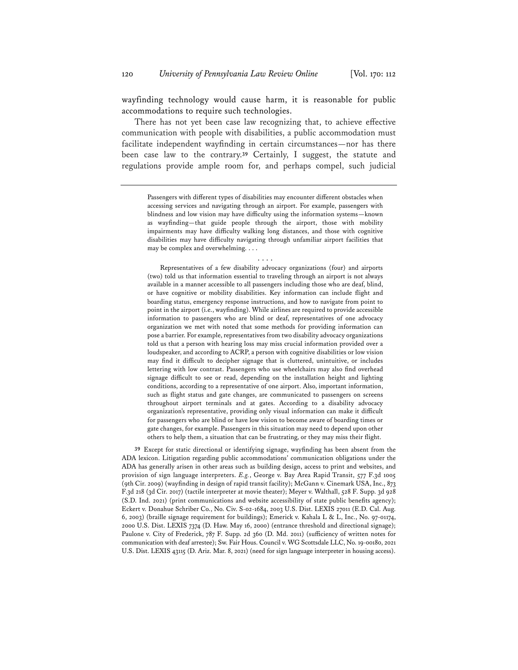wayfinding technology would cause harm, it is reasonable for public accommodations to require such technologies.

There has not yet been case law recognizing that, to achieve effective communication with people with disabilities, a public accommodation must facilitate independent wayfinding in certain circumstances—nor has there been case law to the contrary.**<sup>39</sup>** Certainly, I suggest, the statute and regulations provide ample room for, and perhaps compel, such judicial

Passengers with different types of disabilities may encounter different obstacles when accessing services and navigating through an airport. For example, passengers with blindness and low vision may have difficulty using the information systems—known as wayfinding—that guide people through the airport, those with mobility impairments may have difficulty walking long distances, and those with cognitive disabilities may have difficulty navigating through unfamiliar airport facilities that may be complex and overwhelming. . . .

. . . .

Representatives of a few disability advocacy organizations (four) and airports (two) told us that information essential to traveling through an airport is not always available in a manner accessible to all passengers including those who are deaf, blind, or have cognitive or mobility disabilities. Key information can include flight and boarding status, emergency response instructions, and how to navigate from point to point in the airport (i.e., wayfinding). While airlines are required to provide accessible information to passengers who are blind or deaf, representatives of one advocacy organization we met with noted that some methods for providing information can pose a barrier. For example, representatives from two disability advocacy organizations told us that a person with hearing loss may miss crucial information provided over a loudspeaker, and according to ACRP, a person with cognitive disabilities or low vision may find it difficult to decipher signage that is cluttered, unintuitive, or includes lettering with low contrast. Passengers who use wheelchairs may also find overhead signage difficult to see or read, depending on the installation height and lighting conditions, according to a representative of one airport. Also, important information, such as flight status and gate changes, are communicated to passengers on screens throughout airport terminals and at gates. According to a disability advocacy organization's representative, providing only visual information can make it difficult for passengers who are blind or have low vision to become aware of boarding times or gate changes, for example. Passengers in this situation may need to depend upon other others to help them, a situation that can be frustrating, or they may miss their flight.

**39** Except for static directional or identifying signage, wayfinding has been absent from the ADA lexicon. Litigation regarding public accommodations' communication obligations under the ADA has generally arisen in other areas such as building design, access to print and websites, and provision of sign language interpreters. *E.g.*, George v. Bay Area Rapid Transit, 577 F.3d 1005 (9th Cir. 2009) (wayfinding in design of rapid transit facility); McGann v. Cinemark USA, Inc., 873 F.3d 218 (3d Cir. 2017) (tactile interpreter at movie theater); Meyer v. Walthall, 528 F. Supp. 3d 928 (S.D. Ind. 2021) (print communications and website accessibility of state public benefits agency); Eckert v. Donahue Schriber Co., No. Civ. S-02-1684, 2003 U.S. Dist. LEXIS 27011 (E.D. Cal. Aug. 6, 2003) (braille signage requirement for buildings); Emerick v. Kahala L & L, Inc., No. 97-01174, 2000 U.S. Dist. LEXIS 7374 (D. Haw. May 16, 2000) (entrance threshold and directional signage); Paulone v. City of Frederick, 787 F. Supp. 2d 360 (D. Md. 2011) (sufficiency of written notes for communication with deaf arrestee); Sw. Fair Hous. Council v. WG Scottsdale LLC, No. 19-00180, 2021 U.S. Dist. LEXIS 43115 (D. Ariz. Mar. 8, 2021) (need for sign language interpreter in housing access).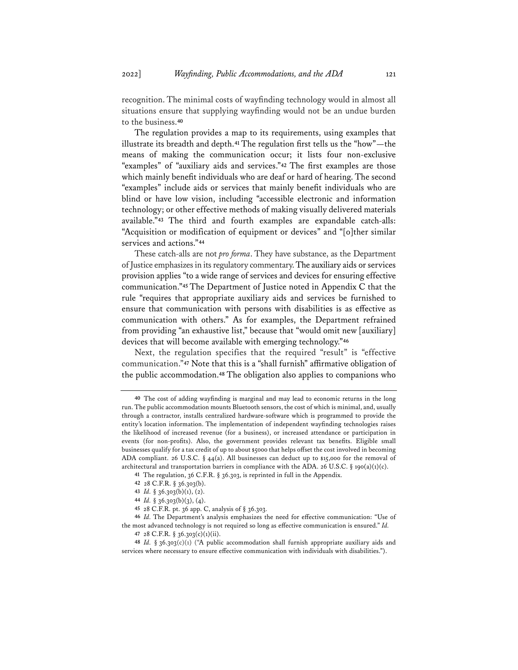recognition. The minimal costs of wayfinding technology would in almost all situations ensure that supplying wayfinding would not be an undue burden to the business.**<sup>40</sup>**

The regulation provides a map to its requirements, using examples that illustrate its breadth and depth.**<sup>41</sup>** The regulation first tells us the "how"—the means of making the communication occur; it lists four non-exclusive "examples" of "auxiliary aids and services."**<sup>42</sup>** The first examples are those which mainly benefit individuals who are deaf or hard of hearing. The second "examples" include aids or services that mainly benefit individuals who are blind or have low vision, including "accessible electronic and information technology; or other effective methods of making visually delivered materials available."**<sup>43</sup>** The third and fourth examples are expandable catch-alls: "Acquisition or modification of equipment or devices" and "[o]ther similar services and actions."**<sup>44</sup>**

These catch-alls are not *pro forma*. They have substance, as the Department of Justice emphasizes in its regulatory commentary. The auxiliary aids or services provision applies "to a wide range of services and devices for ensuring effective communication."**<sup>45</sup>** The Department of Justice noted in Appendix C that the rule "requires that appropriate auxiliary aids and services be furnished to ensure that communication with persons with disabilities is as effective as communication with others." As for examples, the Department refrained from providing "an exhaustive list," because that "would omit new [auxiliary] devices that will become available with emerging technology."**<sup>46</sup>**

Next, the regulation specifies that the required "result" is "effective communication."**<sup>47</sup>** Note that this is a "shall furnish" affirmative obligation of the public accommodation.**<sup>48</sup>** The obligation also applies to companions who

**<sup>40</sup>** The cost of adding wayfinding is marginal and may lead to economic returns in the long run. The public accommodation mounts Bluetooth sensors, the cost of which is minimal, and, usually through a contractor, installs centralized hardware-software which is programmed to provide the entity's location information. The implementation of independent wayfinding technologies raises the likelihood of increased revenue (for a business), or increased attendance or participation in events (for non-profits). Also, the government provides relevant tax benefits. Eligible small businesses qualify for a tax credit of up to about \$5000 that helps offset the cost involved in becoming ADA compliant. 26 U.S.C. § 44(a). All businesses can deduct up to \$15,000 for the removal of architectural and transportation barriers in compliance with the ADA. 26 U.S.C. § 190(a)(1)(c).

**<sup>41</sup>** The regulation, 36 C.F.R. § 36.303, is reprinted in full in the Appendix.

**<sup>42</sup>** 28 C.F.R. § 36.303(b).

**<sup>43</sup>** *Id.* § 36.303(b)(1), (2).

**<sup>44</sup>** *Id.* § 36.303(b)(3), (4).

**<sup>45</sup>** 28 C.F.R. pt. 36 app. C, analysis of § 36.303.

**<sup>46</sup>** *Id.* The Department's analysis emphasizes the need for effective communication: "Use of the most advanced technology is not required so long as effective communication is ensured." *Id.*

**<sup>47</sup>** 28 C.F.R. § 36.303(c)(1)(ii).

**<sup>48</sup>** *Id.* § 36.303(c)(1) ("A public accommodation shall furnish appropriate auxiliary aids and services where necessary to ensure effective communication with individuals with disabilities.").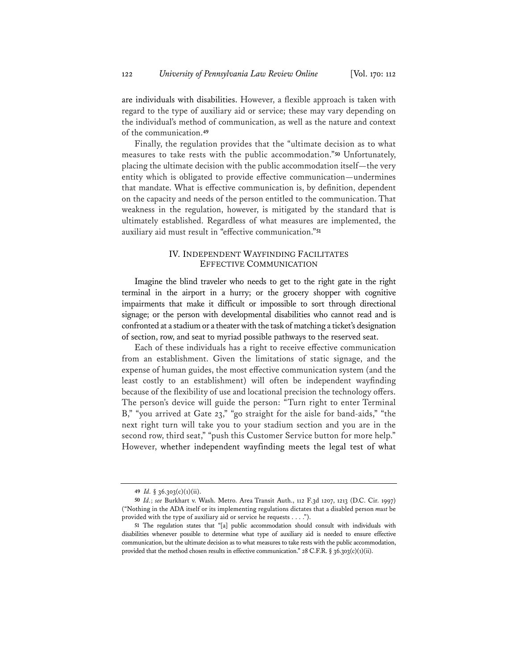are individuals with disabilities. However, a flexible approach is taken with regard to the type of auxiliary aid or service; these may vary depending on the individual's method of communication, as well as the nature and context of the communication.**<sup>49</sup>**

Finally, the regulation provides that the "ultimate decision as to what measures to take rests with the public accommodation."**<sup>50</sup>** Unfortunately, placing the ultimate decision with the public accommodation itself—the very entity which is obligated to provide effective communication—undermines that mandate. What is effective communication is, by definition, dependent on the capacity and needs of the person entitled to the communication. That weakness in the regulation, however, is mitigated by the standard that is ultimately established. Regardless of what measures are implemented, the auxiliary aid must result in "effective communication."**<sup>51</sup>**

### IV. INDEPENDENT WAYFINDING FACILITATES EFFECTIVE COMMUNICATION

Imagine the blind traveler who needs to get to the right gate in the right terminal in the airport in a hurry; or the grocery shopper with cognitive impairments that make it difficult or impossible to sort through directional signage; or the person with developmental disabilities who cannot read and is confronted at a stadium or a theater with the task of matching a ticket's designation of section, row, and seat to myriad possible pathways to the reserved seat.

Each of these individuals has a right to receive effective communication from an establishment. Given the limitations of static signage, and the expense of human guides, the most effective communication system (and the least costly to an establishment) will often be independent wayfinding because of the flexibility of use and locational precision the technology offers. The person's device will guide the person: "Turn right to enter Terminal B," "you arrived at Gate 23," "go straight for the aisle for band-aids," "the next right turn will take you to your stadium section and you are in the second row, third seat," "push this Customer Service button for more help." However, whether independent wayfinding meets the legal test of what

**<sup>49</sup>** *Id.* § 36.303(c)(1)(ii).

**<sup>50</sup>** *Id.*; *see* Burkhart v. Wash. Metro. Area Transit Auth., 112 F.3d 1207, 1213 (D.C. Cir. 1997) ("Nothing in the ADA itself or its implementing regulations dictates that a disabled person *must* be provided with the type of auxiliary aid or service he requests . . . .").

**<sup>51</sup>** The regulation states that "[a] public accommodation should consult with individuals with disabilities whenever possible to determine what type of auxiliary aid is needed to ensure effective communication, but the ultimate decision as to what measures to take rests with the public accommodation, provided that the method chosen results in effective communication." 28 C.F.R. § 36.303(c)(1)(ii).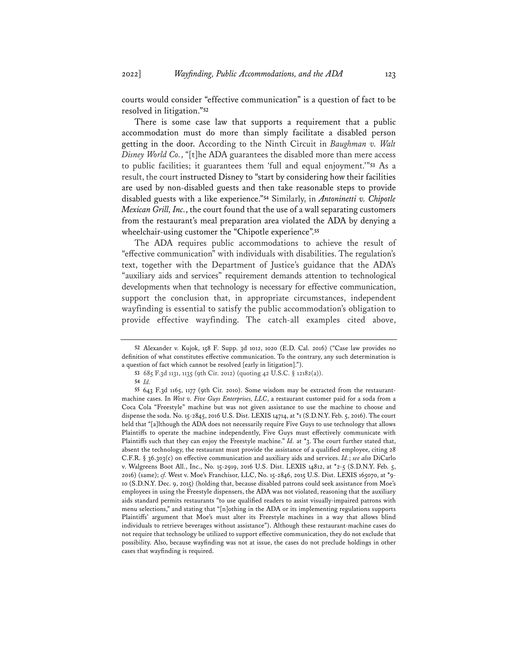courts would consider "effective communication" is a question of fact to be resolved in litigation."**<sup>52</sup>**

There is some case law that supports a requirement that a public accommodation must do more than simply facilitate a disabled person getting in the door. According to the Ninth Circuit in *Baughman v. Walt Disney World Co.*, "[t]he ADA guarantees the disabled more than mere access to public facilities; it guarantees them 'full and equal enjoyment.'"**<sup>53</sup>** As a result, the court instructed Disney to "start by considering how their facilities are used by non-disabled guests and then take reasonable steps to provide disabled guests with a like experience."**<sup>54</sup>** Similarly, in *Antoninetti v. Chipotle Mexican Grill, Inc.*, the court found that the use of a wall separating customers from the restaurant's meal preparation area violated the ADA by denying a wheelchair-using customer the "Chipotle experience".**<sup>55</sup>**

The ADA requires public accommodations to achieve the result of "effective communication" with individuals with disabilities. The regulation's text, together with the Department of Justice's guidance that the ADA's "auxiliary aids and services" requirement demands attention to technological developments when that technology is necessary for effective communication, support the conclusion that, in appropriate circumstances, independent wayfinding is essential to satisfy the public accommodation's obligation to provide effective wayfinding. The catch-all examples cited above,

**<sup>52</sup>** Alexander v. Kujok, 158 F. Supp. 3d 1012, 1020 (E.D. Cal. 2016) ("Case law provides no definition of what constitutes effective communication. To the contrary, any such determination is a question of fact which cannot be resolved [early in litigation].").

**<sup>53</sup>** 685 F.3d 1131, 1135 (9th Cir. 2012) (quoting 42 U.S.C. § 12182(a)).

**<sup>54</sup>** *Id.*

**<sup>55</sup>** 643 F.3d 1165, 1177 (9th Cir. 2010). Some wisdom may be extracted from the restaurantmachine cases. In *West v. Five Guys Enterprises, LLC*, a restaurant customer paid for a soda from a Coca Cola "Freestyle" machine but was not given assistance to use the machine to choose and dispense the soda. No. 15-2845, 2016 U.S. Dist. LEXIS 14714, at \*1 (S.D.N.Y. Feb. 5, 2016). The court held that "[a]lthough the ADA does not necessarily require Five Guys to use technology that allows Plaintiffs to operate the machine independently, Five Guys must effectively communicate with Plaintiffs such that they can enjoy the Freestyle machine." *Id.* at \*3. The court further stated that, absent the technology, the restaurant must provide the assistance of a qualified employee, citing 28 C.F.R. § 36.303(c) on effective communication and auxiliary aids and services. *Id.*; *see also* DiCarlo v. Walgreens Boot All., Inc., No. 15-2919, 2016 U.S. Dist. LEXIS 14812, at \*2-5 (S.D.N.Y. Feb. 5, 2016) (same); *cf.* West v. Moe's Franchisor, LLC, No. 15-2846, 2015 U.S. Dist. LEXIS 165070, at \*9- 10 (S.D.N.Y. Dec. 9, 2015) (holding that, because disabled patrons could seek assistance from Moe's employees in using the Freestyle dispensers, the ADA was not violated, reasoning that the auxiliary aids standard permits restaurants "to use qualified readers to assist visually-impaired patrons with menu selections," and stating that "[n]othing in the ADA or its implementing regulations supports Plaintiffs' argument that Moe's must alter its Freestyle machines in a way that allows blind individuals to retrieve beverages without assistance"). Although these restaurant-machine cases do not require that technology be utilized to support effective communication, they do not exclude that possibility. Also, because wayfinding was not at issue, the cases do not preclude holdings in other cases that wayfinding is required.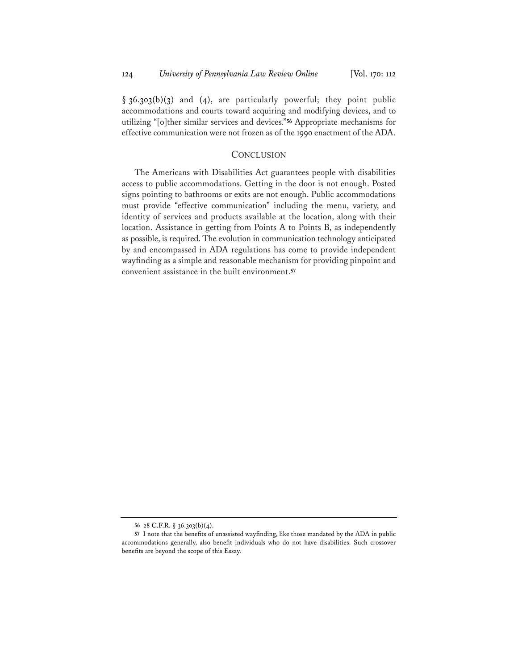$§$  36.303(b)(3) and (4), are particularly powerful; they point public accommodations and courts toward acquiring and modifying devices, and to utilizing "[o]ther similar services and devices."**<sup>56</sup>** Appropriate mechanisms for effective communication were not frozen as of the 1990 enactment of the ADA.

### **CONCLUSION**

The Americans with Disabilities Act guarantees people with disabilities access to public accommodations. Getting in the door is not enough. Posted signs pointing to bathrooms or exits are not enough. Public accommodations must provide "effective communication" including the menu, variety, and identity of services and products available at the location, along with their location. Assistance in getting from Points A to Points B, as independently as possible, is required.The evolution in communication technology anticipated by and encompassed in ADA regulations has come to provide independent wayfinding as a simple and reasonable mechanism for providing pinpoint and convenient assistance in the built environment.**<sup>57</sup>**

**<sup>56</sup>** 28 C.F.R. § 36.303(b)(4).

**<sup>57</sup>** I note that the benefits of unassisted wayfinding, like those mandated by the ADA in public accommodations generally, also benefit individuals who do not have disabilities. Such crossover benefits are beyond the scope of this Essay.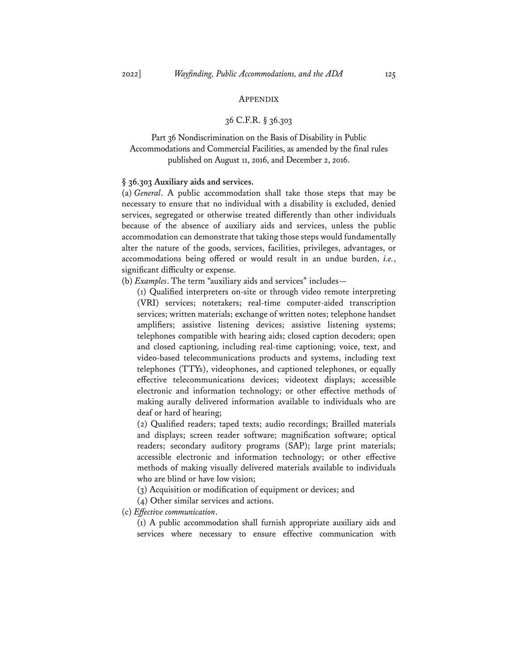### APPENDIX

### 36 C.F.R. § 36.303

## Part 36 Nondiscrimination on the Basis of Disability in Public Accommodations and Commercial Facilities, as amended by the final rules published on August 11, 2016, and December 2, 2016.

#### **§ 36.303 Auxiliary aids and services.**

(a) *General*. A public accommodation shall take those steps that may be necessary to ensure that no individual with a disability is excluded, denied services, segregated or otherwise treated differently than other individuals because of the absence of auxiliary aids and services, unless the public accommodation can demonstrate that taking those steps would fundamentally alter the nature of the goods, services, facilities, privileges, advantages, or accommodations being offered or would result in an undue burden, *i.e.*, significant difficulty or expense.

(b) *Examples*. The term "auxiliary aids and services" includes—

(1) Qualified interpreters on-site or through video remote interpreting (VRI) services; notetakers; real-time computer-aided transcription services; written materials; exchange of written notes; telephone handset amplifiers; assistive listening devices; assistive listening systems; telephones compatible with hearing aids; closed caption decoders; open and closed captioning, including real-time captioning; voice, text, and video-based telecommunications products and systems, including text telephones (TTYs), videophones, and captioned telephones, or equally effective telecommunications devices; videotext displays; accessible electronic and information technology; or other effective methods of making aurally delivered information available to individuals who are deaf or hard of hearing;

(2) Qualified readers; taped texts; audio recordings; Brailled materials and displays; screen reader software; magnification software; optical readers; secondary auditory programs (SAP); large print materials; accessible electronic and information technology; or other effective methods of making visually delivered materials available to individuals who are blind or have low vision;

(3) Acquisition or modification of equipment or devices; and

(4) Other similar services and actions.

(c) *Effective communication*.

(1) A public accommodation shall furnish appropriate auxiliary aids and services where necessary to ensure effective communication with